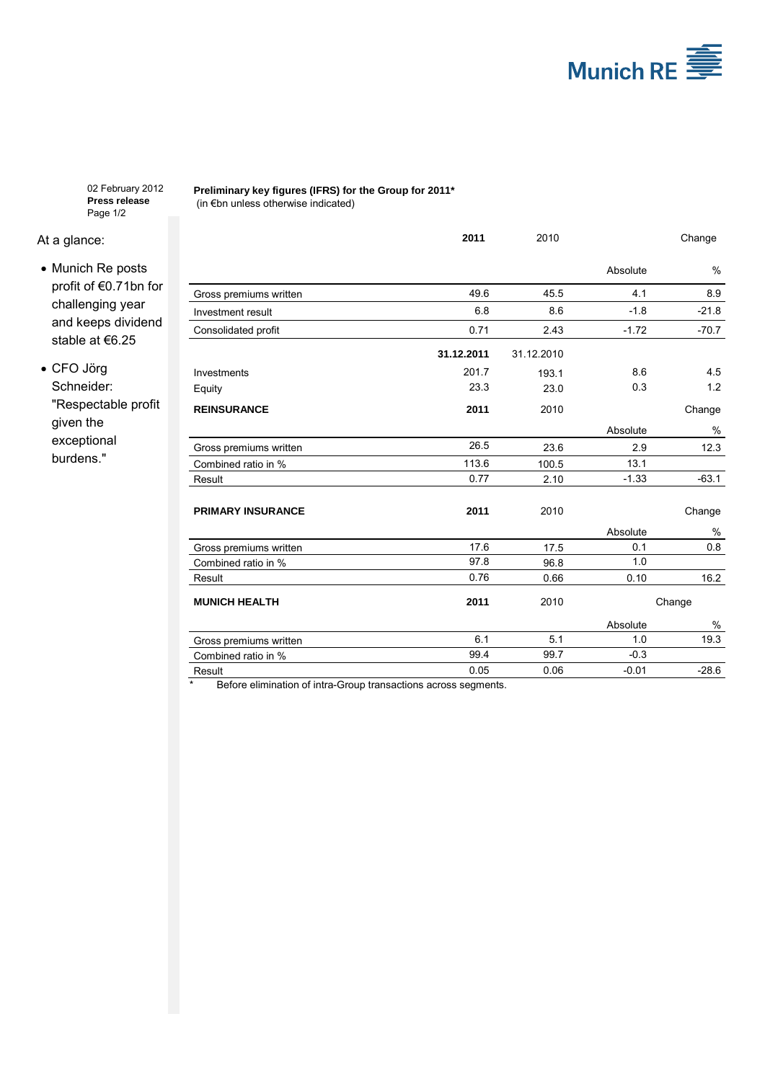

02 February 2012 **Press release** Page 1/2

## At a glance:

- Munich Re posts profit of €0.71bn for challenging year and keeps dividend stable at €6.25
- CFO Jörg Schneider: "Respectable profit given the exceptional burdens."

**Preliminary key figures (IFRS) for the Group for 2011\*** (in €bn unless otherwise indicated)

|                          | 2011       | 2010       |          | Change  |
|--------------------------|------------|------------|----------|---------|
|                          |            |            | Absolute | $\%$    |
| Gross premiums written   | 49.6       | 45.5       | 4.1      | 8.9     |
| Investment result        | 6.8        | 8.6        | $-1.8$   | $-21.8$ |
| Consolidated profit      | 0.71       | 2.43       | $-1.72$  | $-70.7$ |
|                          | 31.12.2011 | 31.12.2010 |          |         |
| Investments              | 201.7      | 193.1      | 8.6      | 4.5     |
| Equity                   | 23.3       | 23.0       | 0.3      | 1.2     |
| <b>REINSURANCE</b>       | 2011       | 2010       |          | Change  |
|                          |            |            | Absolute | %       |
| Gross premiums written   | 26.5       | 23.6       | 2.9      | 12.3    |
| Combined ratio in %      | 113.6      | 100.5      | 13.1     |         |
| Result                   | 0.77       | 2.10       | $-1.33$  | $-63.1$ |
| <b>PRIMARY INSURANCE</b> | 2011       | 2010       |          | Change  |
|                          |            |            | Absolute | %       |
| Gross premiums written   | 17.6       | 17.5       | 0.1      | 0.8     |
| Combined ratio in %      | 97.8       | 96.8       | 1.0      |         |
| Result                   | 0.76       | 0.66       | 0.10     | 16.2    |
| <b>MUNICH HEALTH</b>     | 2011       | 2010       |          | Change  |
|                          |            |            | Absolute | %       |
| Gross premiums written   | 6.1        | 5.1        | 1.0      | 19.3    |
| Combined ratio in %      | 99.4       | 99.7       | $-0.3$   |         |
| Result                   | 0.05       | 0.06       | $-0.01$  | $-28.6$ |

\* Before elimination of intra-Group transactions across segments.